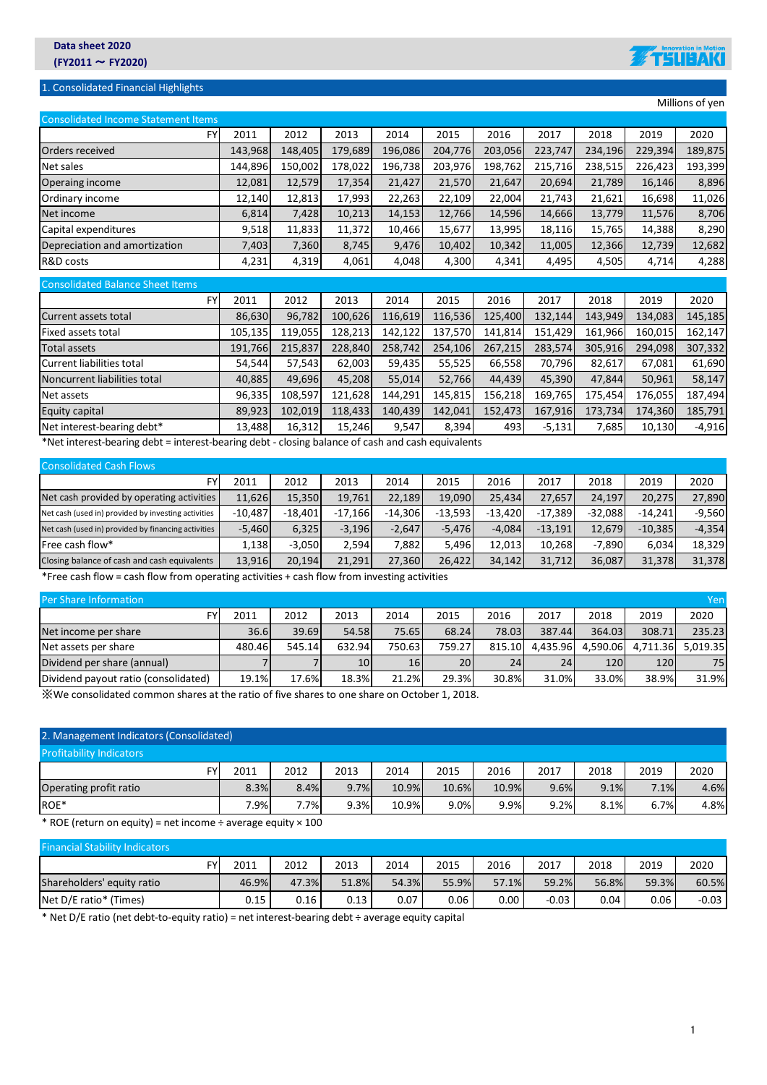## 1. Consolidated Financial Highlights

Consolidated Balance Sheet Items



|                                            |         |         |         |         |         |         |         |         |         | Millions of yen |  |  |  |  |
|--------------------------------------------|---------|---------|---------|---------|---------|---------|---------|---------|---------|-----------------|--|--|--|--|
| <b>Consolidated Income Statement Items</b> |         |         |         |         |         |         |         |         |         |                 |  |  |  |  |
| <b>FY</b>                                  | 2011    | 2012    | 2013    | 2014    | 2015    | 2016    | 2017    | 2018    | 2019    | 2020            |  |  |  |  |
| Orders received                            | 143,968 | 148,405 | 179,689 | 196,086 | 204,776 | 203,056 | 223,747 | 234,196 | 229,394 | 189,875         |  |  |  |  |
| Net sales                                  | 144,896 | 150,002 | 178,022 | 196,738 | 203,976 | 198,762 | 215,716 | 238,515 | 226,423 | 193,399         |  |  |  |  |
| Operaing income                            | 12,081  | 12,579  | 17,354  | 21,427  | 21,570  | 21,647  | 20,694  | 21,789  | 16,146  | 8,896           |  |  |  |  |
| Ordinary income                            | 12,140  | 12,813  | 17,993  | 22,263  | 22,109  | 22,004  | 21,743  | 21,621  | 16,698  | 11,026          |  |  |  |  |
| Net income                                 | 6,814   | 7,428   | 10,213  | 14,153  | 12,766  | 14,596  | 14,666  | 13,779  | 11,576  | 8,706           |  |  |  |  |
| Capital expenditures                       | 9,518   | 11.833  | 11,372  | 10,466  | 15.677  | 13.995  | 18,116  | 15,765  | 14,388  | 8,290           |  |  |  |  |
| Depreciation and amortization              | 7,403   | 7,360   | 8,745   | 9,476   | 10,402  | 10,342  | 11,005  | 12,366  | 12,739  | 12,682          |  |  |  |  |

FY 2011 2012 2013 2014 2015 2016 2017 2018 2019 2020

## Equity capital 89,923 102,019 118,433 140,439 142,041 152,473 167,916 173,734 174,360 185,791 Net interest-bearing debt\* | 13,488 16,312 15,246 9,547 8,394 493 -5,131 7,685 10,130 -4,916

\*Net interest‐bearing debt = interest‐bearing debt ‐ closing balance of cash and cash equivalents

| <b>Consolidated Cash Flows</b>                      |           |           |           |           |           |           |           |           |           |          |
|-----------------------------------------------------|-----------|-----------|-----------|-----------|-----------|-----------|-----------|-----------|-----------|----------|
| FY                                                  | 2011      | 2012      | 2013      | 2014      | 2015      | 2016      | 2017      | 2018      | 2019      | 2020     |
| Net cash provided by operating activities           | 11,626    | 15.350    | 19.761    | 22.189    | 19.090    | 25.434    | 27.657    | 24.197    | 20,275    | 27,890   |
| Net cash (used in) provided by investing activities | $-10.487$ | $-18.401$ | $-17.166$ | $-14.306$ | $-13.593$ | $-13.420$ | $-17.389$ | $-32.088$ | $-14.241$ | $-9,560$ |
| Net cash (used in) provided by financing activities | $-5,460$  | 6,325     | $-3.196$  | $-2.647$  | $-5.476$  | $-4.084$  | $-13.191$ | 12.679    | $-10.385$ | $-4.354$ |
| Free cash flow*                                     | 1.138     | $-3.050$  | 2.594     | 7.882     | 5.496     | 12.013    | 10.268    | -7.890    | 6.034     | 18.329   |
| Closing balance of cash and cash equivalents        | 13,916    | 20.194    | 21,291    | 27,360    | 26,422    | 34.142    | 31.712    | 36.087    | 31,378    | 31,378   |

R&D costs | 4,231| 4,319| 4,061| 4,048| 4,300| 4,341| 4,495| 4,505| 4,714| 4,288

Current assets total 86,630 96,782 100,626 116,619 116,536 125,400 132,144 143,949 134,083 145,185 Fixed assets total 105,135 119,055 128,213 142,122 137,570 141,814 151,429 161,966 160,015 162,147 Total assets 191,766 215,837 228,840 258,742 254,106 267,215 283,574 305,916 294,098 307,332 Current liabilities total 54,544 57,543 62,003 59,435 55,525 66,558 70,796 82,617 67,081 61,690 Noncurrent liabilities total | 40,885 49,696 45,208 55,014 52,766 44,439 45,390 47,844 50,961 58,147 96,335 108,597 121,628 144,291 145,815 156,218 169,765 175,454 176,055 187,494 المسلم المسلم المسلم المسلم ال

\*Free cash flow = cash flow from operating activities + cash flow from investing activities

| <b>Per Share Information</b><br>Yen  |        |        |                 |         |        |        |          |          |          |          |  |  |
|--------------------------------------|--------|--------|-----------------|---------|--------|--------|----------|----------|----------|----------|--|--|
| FY                                   | 2011   | 2012   | 2013            | 2014    | 2015   | 2016   | 2017     | 2018     | 2019     | 2020     |  |  |
| Net income per share                 | 36.6   | 39.69  | 54.58           | 75.65   | 68.24  | 78.03  | 387.44   | 364.03   | 308.71   | 235.23   |  |  |
| Net assets per share                 | 480.46 | 545.14 | 632.94          | 750.631 | 759.27 | 815.10 | 4.435.96 | 4.590.06 | 4.711.36 | 5.019.35 |  |  |
| Dividend per share (annual)          |        |        | 10 <sup>1</sup> | 16      | 20     | 24     | 24       | 120      | 120      | 75       |  |  |
| Dividend payout ratio (consolidated) | 19.1%  | 17.6%  | 18.3%           | 21.2%   | 29.3%  | 30.8%  | 31.0%    | 33.0%    | 38.9%    | 31.9%    |  |  |

※We consolidated common shares at the ratio of five shares to one share on October 1, 2018.

## 2. Management Indicators (Consolidated)

| <b>Profitability Indicators</b> |        |      |      |       |       |       |      |      |      |      |
|---------------------------------|--------|------|------|-------|-------|-------|------|------|------|------|
| FY.                             | 2011   | 2012 | 2013 | 2014  | 2015  | 2016  | 2017 | 2018 | 2019 | 2020 |
| Operating profit ratio          | 8.3%   | 8.4% | 9.7% | 10.9% | 10.6% | 10.9% | 9.6% | 9.1% | 7.1% | 4.6% |
| ROE*                            | $.9\%$ | 7.7% | 9.3% | 10.9% | 9.0%  | 9.9%  | 9.2% | 8.1% | 6.7% | 4.8% |

\* ROE (return on equity) = net income ÷ average equity × 100

| <b>Financial Stability Indicators</b> |       |       |       |       |       |          |         |       |       |         |
|---------------------------------------|-------|-------|-------|-------|-------|----------|---------|-------|-------|---------|
| FY                                    | 2011  | 2012  | 2013  | 2014  | 2015  | 2016     | 2017    | 2018  | 2019  | 2020    |
| Shareholders' equity ratio            | 46.9% | 47.3% | 51.8% | 54.3% | 55.9% | 57.1%    | 59.2%   | 56.8% | 59.3% | 60.5%   |
| Net D/E ratio* (Times)                | 0.15  | 0.16  | 0.13  | 0.07  | 0.06  | $0.00\,$ | $-0.03$ | 0.04  | 0.06  | $-0.03$ |

\* Net D/E ratio (net debt‐to‐equity ratio) = net interest‐bearing debt ÷ average equity capital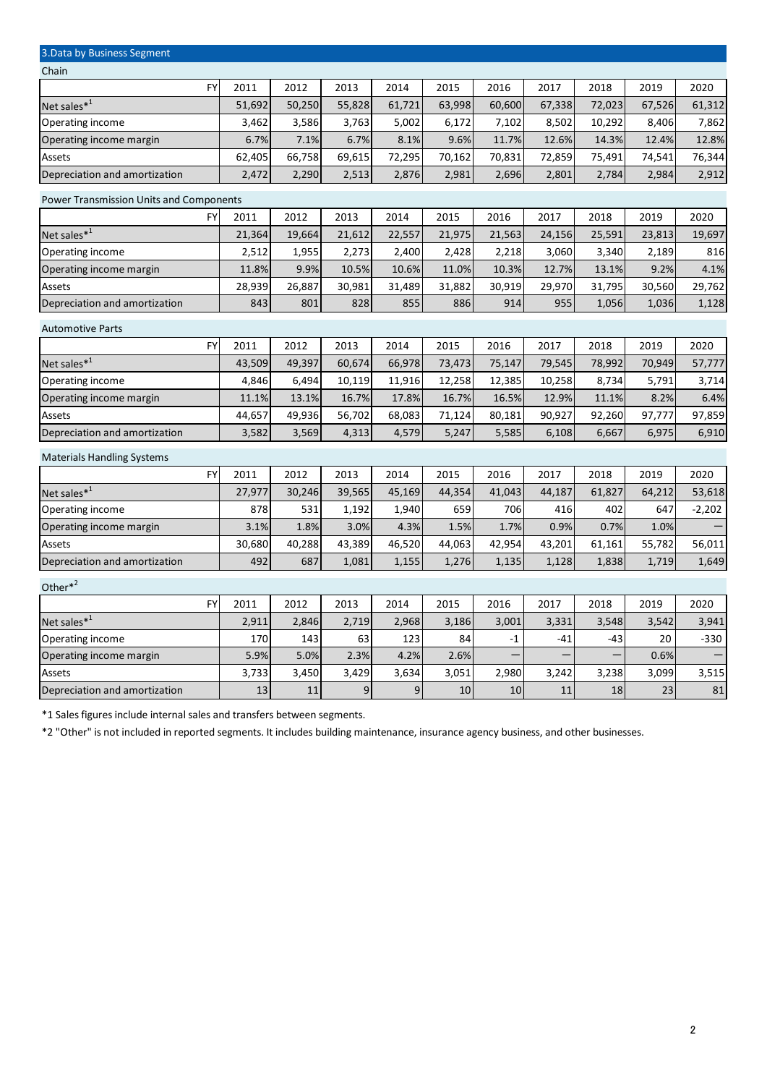| 3. Data by Business Segment             |        |        |        |        |        |        |        |        |        |          |  |  |  |
|-----------------------------------------|--------|--------|--------|--------|--------|--------|--------|--------|--------|----------|--|--|--|
| Chain                                   |        |        |        |        |        |        |        |        |        |          |  |  |  |
| <b>FY</b>                               | 2011   | 2012   | 2013   | 2014   | 2015   | 2016   | 2017   | 2018   | 2019   | 2020     |  |  |  |
| Net sales* <sup>1</sup>                 | 51,692 | 50,250 | 55,828 | 61,721 | 63,998 | 60,600 | 67,338 | 72,023 | 67,526 | 61,312   |  |  |  |
| Operating income                        | 3,462  | 3,586  | 3,763  | 5,002  | 6,172  | 7,102  | 8,502  | 10,292 | 8,406  | 7,862    |  |  |  |
| Operating income margin                 | 6.7%   | 7.1%   | 6.7%   | 8.1%   | 9.6%   | 11.7%  | 12.6%  | 14.3%  | 12.4%  | 12.8%    |  |  |  |
| Assets                                  | 62,405 | 66,758 | 69,615 | 72,295 | 70,162 | 70,831 | 72,859 | 75,491 | 74,541 | 76,344   |  |  |  |
| Depreciation and amortization           | 2,472  | 2,290  | 2,513  | 2,876  | 2,981  | 2,696  | 2,801  | 2,784  | 2,984  | 2,912    |  |  |  |
| Power Transmission Units and Components |        |        |        |        |        |        |        |        |        |          |  |  |  |
| <b>FY</b>                               | 2011   | 2012   | 2013   | 2014   | 2015   | 2016   | 2017   | 2018   | 2019   | 2020     |  |  |  |
| Net sales* <sup>1</sup>                 | 21,364 | 19,664 | 21,612 | 22,557 | 21,975 | 21,563 | 24,156 | 25,591 | 23,813 | 19,697   |  |  |  |
| Operating income                        | 2,512  | 1,955  | 2,273  | 2,400  | 2,428  | 2,218  | 3,060  | 3,340  | 2,189  | 816      |  |  |  |
| Operating income margin                 | 11.8%  | 9.9%   | 10.5%  | 10.6%  | 11.0%  | 10.3%  | 12.7%  | 13.1%  | 9.2%   | 4.1%     |  |  |  |
| Assets                                  | 28,939 | 26,887 | 30,981 | 31,489 | 31,882 | 30,919 | 29,970 | 31,795 | 30,560 | 29,762   |  |  |  |
| Depreciation and amortization           | 843    | 801    | 828    | 855    | 886    | 914    | 955    | 1,056  | 1,036  | 1,128    |  |  |  |
| <b>Automotive Parts</b>                 |        |        |        |        |        |        |        |        |        |          |  |  |  |
| <b>FY</b>                               | 2011   | 2012   | 2013   | 2014   | 2015   | 2016   | 2017   | 2018   | 2019   | 2020     |  |  |  |
| Net sales $*^1$                         | 43,509 | 49,397 | 60,674 | 66,978 | 73,473 | 75,147 | 79,545 | 78,992 | 70,949 | 57,777   |  |  |  |
| Operating income                        | 4,846  | 6,494  | 10,119 | 11,916 | 12,258 | 12,385 | 10,258 | 8,734  | 5,791  | 3,714    |  |  |  |
| Operating income margin                 | 11.1%  | 13.1%  | 16.7%  | 17.8%  | 16.7%  | 16.5%  | 12.9%  | 11.1%  | 8.2%   | 6.4%     |  |  |  |
| Assets                                  | 44,657 | 49,936 | 56,702 | 68,083 | 71,124 | 80,181 | 90,927 | 92,260 | 97,777 | 97,859   |  |  |  |
| Depreciation and amortization           | 3,582  | 3,569  | 4,313  | 4,579  | 5,247  | 5,585  | 6,108  | 6,667  | 6,975  | 6,910    |  |  |  |
| <b>Materials Handling Systems</b>       |        |        |        |        |        |        |        |        |        |          |  |  |  |
| FY                                      | 2011   | 2012   | 2013   | 2014   | 2015   | 2016   | 2017   | 2018   | 2019   | 2020     |  |  |  |
| Net sales* <sup>1</sup>                 | 27,977 | 30,246 | 39,565 | 45,169 | 44,354 | 41,043 | 44,187 | 61,827 | 64,212 | 53,618   |  |  |  |
| Operating income                        | 878    | 531    | 1,192  | 1,940  | 659    | 706    | 416    | 402    | 647    | $-2,202$ |  |  |  |
| Operating income margin                 | 3.1%   | 1.8%   | 3.0%   | 4.3%   | 1.5%   | 1.7%   | 0.9%   | 0.7%   | 1.0%   |          |  |  |  |
| Assets                                  | 30,680 | 40,288 | 43,389 | 46,520 | 44,063 | 42,954 | 43,201 | 61,161 | 55,782 | 56,011   |  |  |  |
| Depreciation and amortization           | 492    | 687    | 1,081  | 1,155  | 1,276  | 1,135  | 1,128  | 1,838  | 1,719  | 1,649    |  |  |  |
| Other $*^2$                             |        |        |        |        |        |        |        |        |        |          |  |  |  |
| <b>FY</b>                               | 2011   | 2012   | 2013   | 2014   | 2015   | 2016   | 2017   | 2018   | 2019   | 2020     |  |  |  |
| Net sales* <sup>1</sup>                 | 2,911  | 2,846  | 2,719  | 2,968  | 3,186  | 3,001  | 3,331  | 3,548  | 3,542  | 3,941    |  |  |  |
| Operating income                        | 170    | 143    | 63     | 123    | 84     | $-1$   | $-41$  | -43    | 20     | $-330$   |  |  |  |
| Operating income margin                 | 5.9%   | 5.0%   | 2.3%   | 4.2%   | 2.6%   |        |        |        | 0.6%   |          |  |  |  |
| Assets                                  | 3,733  | 3,450  | 3,429  | 3,634  | 3,051  | 2,980  | 3,242  | 3,238  | 3,099  | 3,515    |  |  |  |
| Depreciation and amortization           | 13     | 11     | 9      | 9      | 10     | 10     | 11     | 18     | 23     | 81       |  |  |  |

\*1 Sales figures include internal sales and transfers between segments.

\*2 "Other" is not included in reported segments. It includes building maintenance, insurance agency business, and other businesses.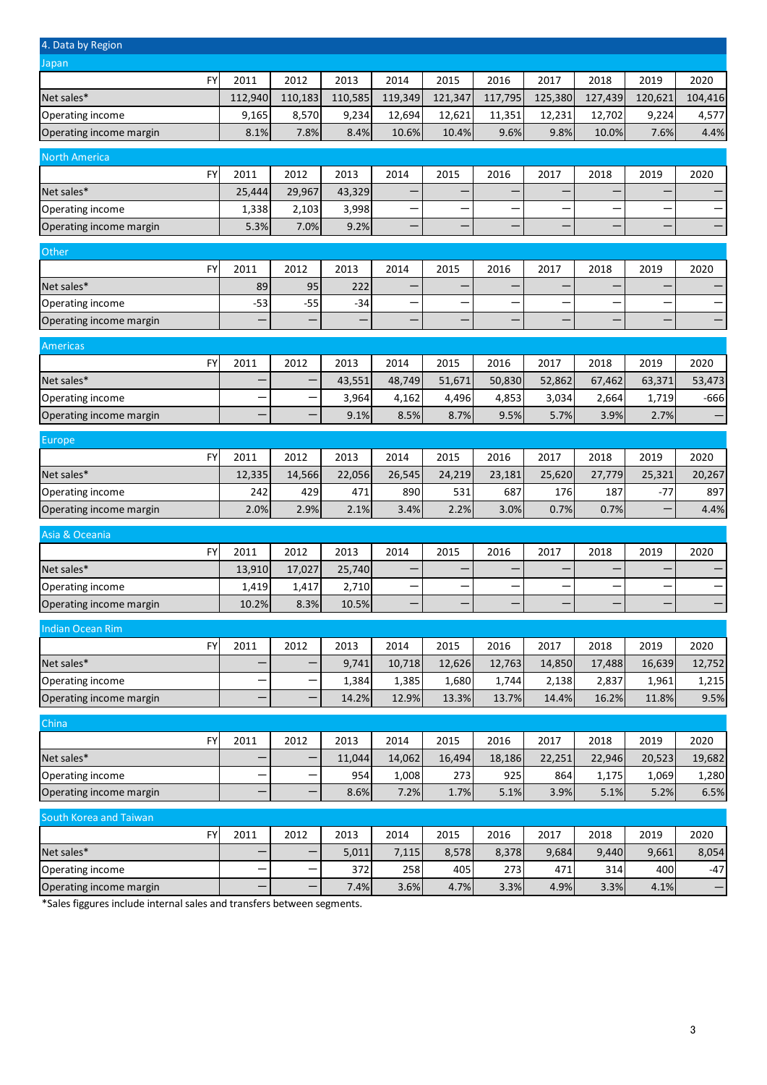| 4. Data by Region       |           |         |         |         |         |         |         |         |         |         |                   |
|-------------------------|-----------|---------|---------|---------|---------|---------|---------|---------|---------|---------|-------------------|
| Japan                   |           |         |         |         |         |         |         |         |         |         |                   |
|                         | FY        | 2011    | 2012    | 2013    | 2014    | 2015    | 2016    | 2017    | 2018    | 2019    | 2020              |
| Net sales*              |           | 112,940 | 110,183 | 110,585 | 119,349 | 121,347 | 117,795 | 125,380 | 127,439 | 120,621 | 104,416           |
| Operating income        |           | 9,165   | 8,570   | 9,234   | 12,694  | 12,621  | 11,351  | 12,231  | 12,702  | 9,224   | 4,577             |
| Operating income margin |           | 8.1%    | 7.8%    | 8.4%    | 10.6%   | 10.4%   | 9.6%    | 9.8%    | 10.0%   | 7.6%    | 4.4%              |
| <b>North America</b>    |           |         |         |         |         |         |         |         |         |         |                   |
|                         | FY        | 2011    | 2012    | 2013    | 2014    | 2015    | 2016    | 2017    | 2018    | 2019    | 2020              |
| Net sales*              |           | 25,444  | 29,967  | 43,329  |         |         |         |         |         |         |                   |
| Operating income        |           | 1,338   | 2,103   | 3,998   |         |         |         |         |         |         |                   |
| Operating income margin |           | 5.3%    | 7.0%    | 9.2%    |         |         |         |         |         |         |                   |
| Other                   |           |         |         |         |         |         |         |         |         |         |                   |
|                         | FY        | 2011    | 2012    | 2013    | 2014    | 2015    | 2016    | 2017    | 2018    | 2019    | 2020              |
| Net sales*              |           | 89      | 95      | 222     |         |         |         |         |         |         |                   |
| Operating income        |           | $-53$   | $-55$   | $-34$   |         |         |         |         |         |         |                   |
| Operating income margin |           |         |         |         |         |         |         |         |         |         |                   |
| Americas                |           |         |         |         |         |         |         |         |         |         |                   |
|                         | <b>FY</b> | 2011    | 2012    | 2013    | 2014    | 2015    | 2016    | 2017    | 2018    | 2019    | 2020              |
| Net sales*              |           |         |         | 43,551  | 48,749  | 51,671  | 50,830  | 52,862  | 67,462  | 63,371  | 53,473            |
| Operating income        |           |         |         | 3,964   | 4,162   | 4,496   | 4,853   | 3,034   | 2,664   | 1,719   | $-666$            |
| Operating income margin |           |         |         | 9.1%    | 8.5%    | 8.7%    | 9.5%    | 5.7%    | 3.9%    | 2.7%    |                   |
| Europe                  |           |         |         |         |         |         |         |         |         |         |                   |
|                         | FY        | 2011    | 2012    | 2013    | 2014    | 2015    | 2016    | 2017    | 2018    | 2019    | 2020              |
| Net sales*              |           | 12,335  | 14,566  | 22,056  | 26,545  | 24,219  | 23,181  | 25,620  | 27,779  | 25,321  | 20,267            |
| Operating income        |           | 242     | 429     | 471     | 890     | 531     | 687     | 176     | 187     | $-77$   | 897               |
| Operating income margin |           | 2.0%    | 2.9%    | 2.1%    | 3.4%    | 2.2%    | 3.0%    | 0.7%    | 0.7%    | -       | 4.4%              |
| Asia & Oceania          |           |         |         |         |         |         |         |         |         |         |                   |
|                         | FY        | 2011    | 2012    | 2013    | 2014    | 2015    | 2016    | 2017    | 2018    | 2019    | 2020              |
| Net sales*              |           | 13,910  | 17,027  | 25,740  |         |         |         |         |         |         |                   |
| Operating income        |           | 1,419   | 1,417   | 2,710   |         |         |         |         |         |         | —                 |
| Operating income margin |           | 10.2%   | 8.3%    | 10.5%   |         |         |         |         |         |         |                   |
| <b>Indian Ocean Rim</b> |           |         |         |         |         |         |         |         |         |         |                   |
|                         | <b>FY</b> | 2011    | 2012    | 2013    | 2014    | 2015    | 2016    | 2017    | 2018    | 2019    | 2020              |
| Net sales*              |           |         |         | 9,741   | 10,718  | 12,626  | 12,763  | 14,850  | 17,488  | 16,639  | 12,752            |
| Operating income        |           | —       |         | 1,384   | 1,385   | 1,680   | 1,744   | 2,138   | 2,837   | 1,961   | 1,215             |
| Operating income margin |           |         |         | 14.2%   | 12.9%   | 13.3%   | 13.7%   | 14.4%   | 16.2%   | 11.8%   | 9.5%              |
| China                   |           |         |         |         |         |         |         |         |         |         |                   |
|                         | <b>FY</b> | 2011    | 2012    | 2013    | 2014    | 2015    | 2016    | 2017    | 2018    | 2019    | 2020              |
| Net sales*              |           |         |         | 11,044  | 14,062  | 16,494  | 18,186  | 22,251  | 22,946  | 20,523  | 19,682            |
| Operating income        |           |         |         | 954     | 1,008   | 273     | 925     | 864     | 1,175   | 1,069   | 1,280             |
| Operating income margin |           |         |         | 8.6%    | 7.2%    | 1.7%    | 5.1%    | 3.9%    | 5.1%    | 5.2%    | 6.5%              |
|                         |           |         |         |         |         |         |         |         |         |         |                   |
| South Korea and Taiwan  |           |         |         |         |         |         |         |         |         |         |                   |
|                         | FY        | 2011    | 2012    | 2013    | 2014    | 2015    | 2016    | 2017    | 2018    | 2019    | 2020              |
| Net sales*              |           |         |         | 5,011   | 7,115   | 8,578   | 8,378   | 9,684   | 9,440   | 9,661   | 8,054             |
| Operating income        |           |         |         | 372     | 258     | 405     | 273     | 471     | 314     | 400     | $-47$             |
| Operating income margin |           |         |         | 7.4%    | 3.6%    | 4.7%    | 3.3%    | 4.9%    | 3.3%    | 4.1%    | $\qquad \qquad -$ |

\*Sales figgures include internal sales and transfers between segments.